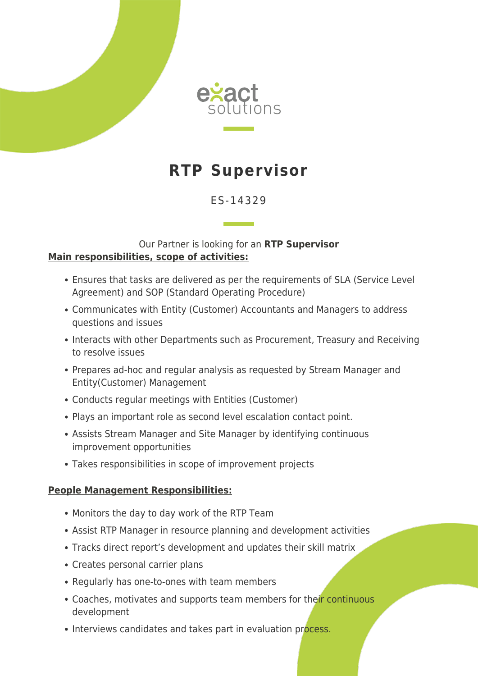

# **RTP Supervisor**

## ES-14329

### Our Partner is looking for an **RTP Supervisor Main responsibilities, scope of activities:**

- Ensures that tasks are delivered as per the requirements of SLA (Service Level Agreement) and SOP (Standard Operating Procedure)
- Communicates with Entity (Customer) Accountants and Managers to address questions and issues
- Interacts with other Departments such as Procurement, Treasury and Receiving to resolve issues
- Prepares ad-hoc and regular analysis as requested by Stream Manager and Entity(Customer) Management
- Conducts regular meetings with Entities (Customer)
- Plays an important role as second level escalation contact point.
- Assists Stream Manager and Site Manager by identifying continuous improvement opportunities
- Takes responsibilities in scope of improvement projects

### **People Management Responsibilities:**

- Monitors the day to day work of the RTP Team
- Assist RTP Manager in resource planning and development activities
- Tracks direct report's development and updates their skill matrix
- Creates personal carrier plans
- Regularly has one-to-ones with team members
- Coaches, motivates and supports team members for their continuous development
- Interviews candidates and takes part in evaluation process.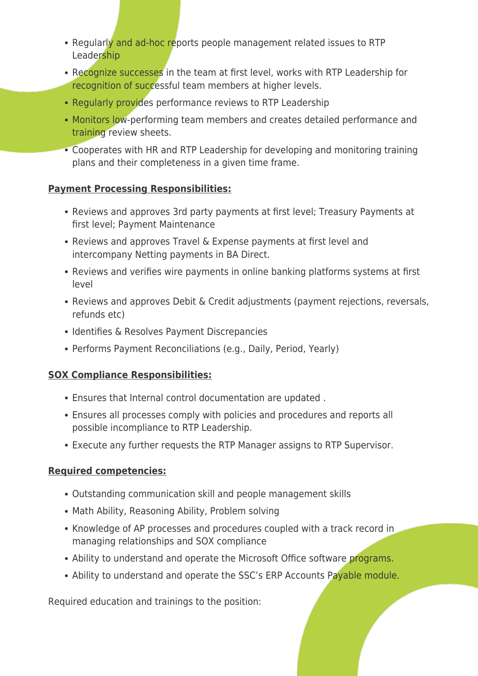- Regularly and ad-hoc reports people management related issues to RTP Leadership
- Recognize successes in the team at first level, works with RTP Leadership for recognition of successful team members at higher levels.
- Regularly provides performance reviews to RTP Leadership
- Monitors low-performing team members and creates detailed performance and training review sheets.
- Cooperates with HR and RTP Leadership for developing and monitoring training plans and their completeness in a given time frame.

## **Payment Processing Responsibilities:**

- Reviews and approves 3rd party payments at first level; Treasury Payments at first level; Payment Maintenance
- Reviews and approves Travel & Expense payments at first level and intercompany Netting payments in BA Direct.
- Reviews and verifies wire payments in online banking platforms systems at first level
- Reviews and approves Debit & Credit adjustments (payment rejections, reversals, refunds etc)
- Identifies & Resolves Payment Discrepancies
- Performs Payment Reconciliations (e.g., Daily, Period, Yearly)

## **SOX Compliance Responsibilities:**

- Ensures that Internal control documentation are updated .
- Ensures all processes comply with policies and procedures and reports all possible incompliance to RTP Leadership.
- Execute any further requests the RTP Manager assigns to RTP Supervisor.

## **Required competencies:**

- Outstanding communication skill and people management skills
- Math Ability, Reasoning Ability, Problem solving
- Knowledge of AP processes and procedures coupled with a track record in managing relationships and SOX compliance
- Ability to understand and operate the Microsoft Office software programs.
- Ability to understand and operate the SSC's ERP Accounts Payable module.

Required education and trainings to the position: